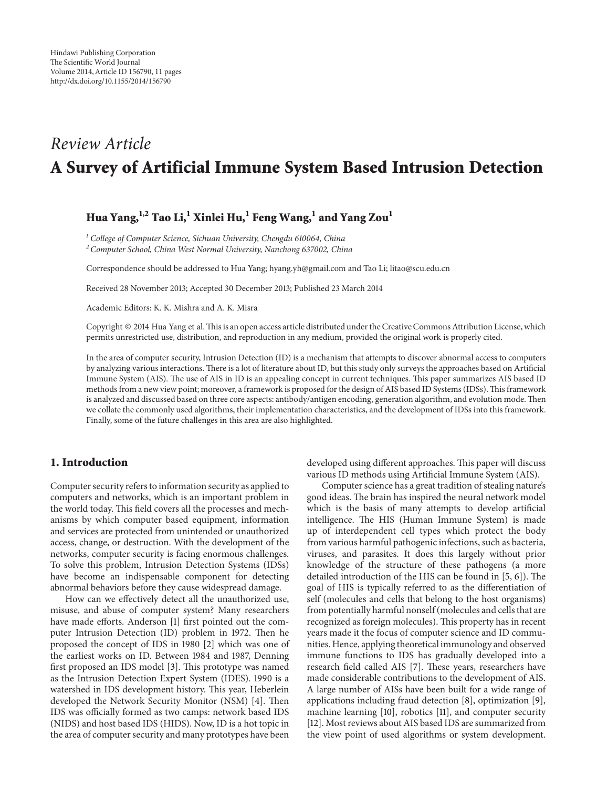# *Review Article* **A Survey of Artificial Immune System Based Intrusion Detection**

# **Hua Yang,1,2 Tao Li,1 Xinlei Hu,1 Feng Wang,1 and Yang Zou<sup>1</sup>**

*<sup>1</sup> College of Computer Science, Sichuan University, Chengdu 610064, China*

*<sup>2</sup> Computer School, China West Normal University, Nanchong 637002, China*

Correspondence should be addressed to Hua Yang; hyang.yh@gmail.com and Tao Li; litao@scu.edu.cn

Received 28 November 2013; Accepted 30 December 2013; Published 23 March 2014

Academic Editors: K. K. Mishra and A. K. Misra

Copyright © 2014 Hua Yang et al.This is an open access article distributed under the Creative Commons Attribution License, which permits unrestricted use, distribution, and reproduction in any medium, provided the original work is properly cited.

In the area of computer security, Intrusion Detection (ID) is a mechanism that attempts to discover abnormal access to computers by analyzing various interactions. There is a lot of literature about ID, but this study only surveys the approaches based on Artificial Immune System (AIS). The use of AIS in ID is an appealing concept in current techniques. This paper summarizes AIS based ID methods from a new view point; moreover, a framework is proposed for the design of AIS based ID Systems (IDSs). This framework is analyzed and discussed based on three core aspects: antibody/antigen encoding, generation algorithm, and evolution mode. Then we collate the commonly used algorithms, their implementation characteristics, and the development of IDSs into this framework. Finally, some of the future challenges in this area are also highlighted.

#### **1. Introduction**

Computer security refers to information security as applied to computers and networks, which is an important problem in the world today. This field covers all the processes and mechanisms by which computer based equipment, information and services are protected from unintended or unauthorized access, change, or destruction. With the development of the networks, computer security is facing enormous challenges. To solve this problem, Intrusion Detection Systems (IDSs) have become an indispensable component for detecting abnormal behaviors before they cause widespread damage.

How can we effectively detect all the unauthorized use, misuse, and abuse of computer system? Many researchers have made efforts. Anderson [\[1\]](#page-7-0) first pointed out the computer Intrusion Detection (ID) problem in 1972. Then he proposed the concept of IDS in 1980 [\[2](#page-7-1)] which was one of the earliest works on ID. Between 1984 and 1987, Denning first proposed an IDS model [\[3\]](#page-7-2). This prototype was named as the Intrusion Detection Expert System (IDES). 1990 is a watershed in IDS development history. This year, Heberlein developed the Network Security Monitor (NSM) [\[4](#page-7-3)]. Then IDS was officially formed as two camps: network based IDS (NIDS) and host based IDS (HIDS). Now, ID is a hot topic in the area of computer security and many prototypes have been developed using different approaches. This paper will discuss various ID methods using Artificial Immune System (AIS).

Computer science has a great tradition of stealing nature's good ideas. The brain has inspired the neural network model which is the basis of many attempts to develop artificial intelligence. The HIS (Human Immune System) is made up of interdependent cell types which protect the body from various harmful pathogenic infections, such as bacteria, viruses, and parasites. It does this largely without prior knowledge of the structure of these pathogens (a more detailed introduction of the HIS can be found in [\[5,](#page-7-4) [6](#page-7-5)]). The goal of HIS is typically referred to as the differentiation of self (molecules and cells that belong to the host organisms) from potentially harmful nonself (molecules and cells that are recognized as foreign molecules). This property has in recent years made it the focus of computer science and ID communities. Hence, applying theoretical immunology and observed immune functions to IDS has gradually developed into a research field called AIS [\[7](#page-7-6)]. These years, researchers have made considerable contributions to the development of AIS. A large number of AISs have been built for a wide range of applications including fraud detection [\[8](#page-7-7)], optimization [\[9](#page-7-8)], machine learning [\[10\]](#page-7-9), robotics [\[11\]](#page-7-10), and computer security [\[12](#page-7-11)]. Most reviews about AIS based IDS are summarized from the view point of used algorithms or system development.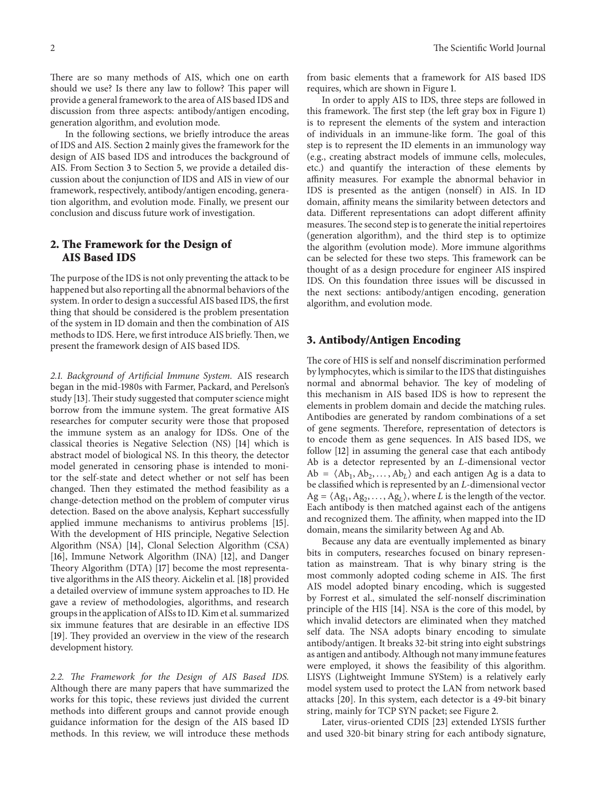There are so many methods of AIS, which one on earth should we use? Is there any law to follow? This paper will provide a general framework to the area of AIS based IDS and discussion from three aspects: antibody/antigen encoding, generation algorithm, and evolution mode.

In the following sections, we briefly introduce the areas of IDS and AIS. Section [2](#page-1-0) mainly gives the framework for the design of AIS based IDS and introduces the background of AIS. From Section [3](#page-1-1) to Section [5,](#page-5-0) we provide a detailed discussion about the conjunction of IDS and AIS in view of our framework, respectively, antibody/antigen encoding, generation algorithm, and evolution mode. Finally, we present our conclusion and discuss future work of investigation.

### <span id="page-1-0"></span>**2. The Framework for the Design of AIS Based IDS**

The purpose of the IDS is not only preventing the attack to be happened but also reporting all the abnormal behaviors of the system. In order to design a successful AIS based IDS, the first thing that should be considered is the problem presentation of the system in ID domain and then the combination of AIS methods to IDS. Here, we first introduce AIS briefly.Then, we present the framework design of AIS based IDS.

*2.1. Background of Artificial Immune System.* AIS research began in the mid-1980s with Farmer, Packard, and Perelson's study [\[13](#page-7-12)]. Their study suggested that computer science might borrow from the immune system. The great formative AIS researches for computer security were those that proposed the immune system as an analogy for IDSs. One of the classical theories is Negative Selection (NS) [\[14](#page-7-13)] which is abstract model of biological NS. In this theory, the detector model generated in censoring phase is intended to monitor the self-state and detect whether or not self has been changed. Then they estimated the method feasibility as a change-detection method on the problem of computer virus detection. Based on the above analysis, Kephart successfully applied immune mechanisms to antivirus problems [\[15\]](#page-7-14). With the development of HIS principle, Negative Selection Algorithm (NSA) [\[14](#page-7-13)], Clonal Selection Algorithm (CSA) [\[16](#page-8-0)], Immune Network Algorithm (INA) [\[12](#page-7-11)], and Danger Theory Algorithm (DTA) [\[17](#page-8-1)] become the most representative algorithms in the AIS theory. Aickelin et al. [\[18\]](#page-8-2) provided a detailed overview of immune system approaches to ID. He gave a review of methodologies, algorithms, and research groups in the application of AISs to ID. Kim et al. summarized six immune features that are desirable in an effective IDS [\[19](#page-8-3)]. They provided an overview in the view of the research development history.

*2.2. The Framework for the Design of AIS Based IDS.* Although there are many papers that have summarized the works for this topic, these reviews just divided the current methods into different groups and cannot provide enough guidance information for the design of the AIS based ID methods. In this review, we will introduce these methods

from basic elements that a framework for AIS based IDS requires, which are shown in Figure [1.](#page-2-0)

In order to apply AIS to IDS, three steps are followed in this framework. The first step (the left gray box in Figure [1\)](#page-2-0) is to represent the elements of the system and interaction of individuals in an immune-like form. The goal of this step is to represent the ID elements in an immunology way (e.g., creating abstract models of immune cells, molecules, etc.) and quantify the interaction of these elements by affinity measures. For example the abnormal behavior in IDS is presented as the antigen (nonself) in AIS. In ID domain, affinity means the similarity between detectors and data. Different representations can adopt different affinity measures.The second step is to generate the initial repertoires (generation algorithm), and the third step is to optimize the algorithm (evolution mode). More immune algorithms can be selected for these two steps. This framework can be thought of as a design procedure for engineer AIS inspired IDS. On this foundation three issues will be discussed in the next sections: antibody/antigen encoding, generation algorithm, and evolution mode.

#### <span id="page-1-1"></span>**3. Antibody/Antigen Encoding**

The core of HIS is self and nonself discrimination performed by lymphocytes, which is similar to the IDS that distinguishes normal and abnormal behavior. The key of modeling of this mechanism in AIS based IDS is how to represent the elements in problem domain and decide the matching rules. Antibodies are generated by random combinations of a set of gene segments. Therefore, representation of detectors is to encode them as gene sequences. In AIS based IDS, we follow [\[12\]](#page-7-11) in assuming the general case that each antibody Ab is a detector represented by an  $L$ -dimensional vector  $Ab = \langle Ab_1, Ab_2, \ldots, Ab_L \rangle$  and each antigen Ag is a data to be classified which is represented by an  $L$ -dimensional vector  $Ag = \langle Ag_1, Ag_2, \ldots, Ag_L \rangle$ , where *L* is the length of the vector. Each antibody is then matched against each of the antigens and recognized them. The affinity, when mapped into the ID domain, means the similarity between Ag and Ab.

Because any data are eventually implemented as binary bits in computers, researches focused on binary representation as mainstream. That is why binary string is the most commonly adopted coding scheme in AIS. The first AIS model adopted binary encoding, which is suggested by Forrest et al., simulated the self-nonself discrimination principle of the HIS [\[14](#page-7-13)]. NSA is the core of this model, by which invalid detectors are eliminated when they matched self data. The NSA adopts binary encoding to simulate antibody/antigen. It breaks 32-bit string into eight substrings as antigen and antibody. Although not many immune features were employed, it shows the feasibility of this algorithm. LISYS (Lightweight Immune SYStem) is a relatively early model system used to protect the LAN from network based attacks [\[20\]](#page-8-4). In this system, each detector is a 49-bit binary string, mainly for TCP SYN packet; see Figure [2.](#page-2-1)

Later, virus-oriented CDIS [\[23](#page-8-5)] extended LYSIS further and used 320-bit binary string for each antibody signature,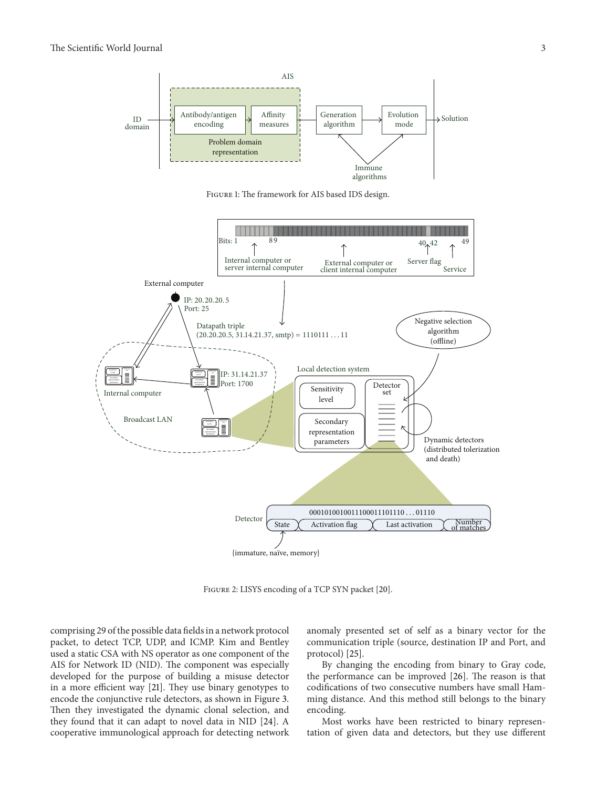

<span id="page-2-0"></span>Figure 1: The framework for AIS based IDS design.



<span id="page-2-1"></span>FIGURE 2: LISYS encoding of a TCP SYN packet [\[20\]](#page-8-4).

comprising 29 of the possible data fields in a network protocol packet, to detect TCP, UDP, and ICMP. Kim and Bentley used a static CSA with NS operator as one component of the AIS for Network ID (NID). The component was especially developed for the purpose of building a misuse detector in a more efficient way [\[21](#page-8-6)]. They use binary genotypes to encode the conjunctive rule detectors, as shown in Figure [3.](#page-3-0) Then they investigated the dynamic clonal selection, and they found that it can adapt to novel data in NID [\[24](#page-8-7)]. A cooperative immunological approach for detecting network

anomaly presented set of self as a binary vector for the communication triple (source, destination IP and Port, and protocol) [\[25\]](#page-8-8).

By changing the encoding from binary to Gray code, the performance can be improved [\[26](#page-8-9)]. The reason is that codifications of two consecutive numbers have small Hamming distance. And this method still belongs to the binary encoding.

Most works have been restricted to binary representation of given data and detectors, but they use different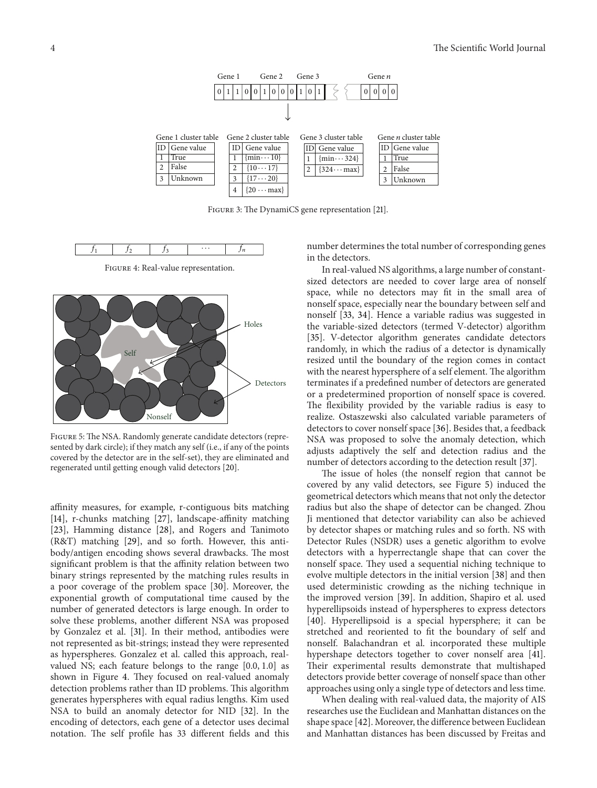

<span id="page-3-0"></span>Figure 3: The DynamiCS gene representation [\[21](#page-8-6)].



<span id="page-3-1"></span>FIGURE 4: Real-value representation.



<span id="page-3-2"></span>Figure 5: The NSA. Randomly generate candidate detectors (represented by dark circle); if they match any self (i.e., if any of the points covered by the detector are in the self-set), they are eliminated and regenerated until getting enough valid detectors [\[20](#page-8-4)].

affinity measures, for example, r-contiguous bits matching [\[14](#page-7-13)], r-chunks matching [\[27\]](#page-8-10), landscape-affinity matching [\[23](#page-8-5)], Hamming distance [\[28\]](#page-8-11), and Rogers and Tanimoto (R&T) matching [\[29](#page-8-12)], and so forth. However, this antibody/antigen encoding shows several drawbacks. The most significant problem is that the affinity relation between two binary strings represented by the matching rules results in a poor coverage of the problem space [\[30](#page-8-13)]. Moreover, the exponential growth of computational time caused by the number of generated detectors is large enough. In order to solve these problems, another different NSA was proposed by Gonzalez et al. [\[31](#page-8-14)]. In their method, antibodies were not represented as bit-strings; instead they were represented as hyperspheres. Gonzalez et al. called this approach, realvalued NS; each feature belongs to the range [0.0, 1.0] as shown in Figure [4.](#page-3-1) They focused on real-valued anomaly detection problems rather than ID problems. This algorithm generates hyperspheres with equal radius lengths. Kim used NSA to build an anomaly detector for NID [\[32](#page-8-15)]. In the encoding of detectors, each gene of a detector uses decimal notation. The self profile has 33 different fields and this

number determines the total number of corresponding genes in the detectors.

In real-valued NS algorithms, a large number of constantsized detectors are needed to cover large area of nonself space, while no detectors may fit in the small area of nonself space, especially near the boundary between self and nonself [\[33,](#page-8-16) [34](#page-8-17)]. Hence a variable radius was suggested in the variable-sized detectors (termed V-detector) algorithm [\[35](#page-8-18)]. V-detector algorithm generates candidate detectors randomly, in which the radius of a detector is dynamically resized until the boundary of the region comes in contact with the nearest hypersphere of a self element. The algorithm terminates if a predefined number of detectors are generated or a predetermined proportion of nonself space is covered. The flexibility provided by the variable radius is easy to realize. Ostaszewski also calculated variable parameters of detectors to cover nonself space [\[36](#page-8-19)]. Besides that, a feedback NSA was proposed to solve the anomaly detection, which adjusts adaptively the self and detection radius and the number of detectors according to the detection result [\[37](#page-8-20)].

The issue of holes (the nonself region that cannot be covered by any valid detectors, see Figure [5\)](#page-3-2) induced the geometrical detectors which means that not only the detector radius but also the shape of detector can be changed. Zhou Ji mentioned that detector variability can also be achieved by detector shapes or matching rules and so forth. NS with Detector Rules (NSDR) uses a genetic algorithm to evolve detectors with a hyperrectangle shape that can cover the nonself space. They used a sequential niching technique to evolve multiple detectors in the initial version [\[38](#page-8-21)] and then used deterministic crowding as the niching technique in the improved version [\[39\]](#page-8-22). In addition, Shapiro et al. used hyperellipsoids instead of hyperspheres to express detectors [\[40](#page-8-23)]. Hyperellipsoid is a special hypersphere; it can be stretched and reoriented to fit the boundary of self and nonself. Balachandran et al. incorporated these multiple hypershape detectors together to cover nonself area [\[41](#page-8-24)]. Their experimental results demonstrate that multishaped detectors provide better coverage of nonself space than other approaches using only a single type of detectors and less time.

When dealing with real-valued data, the majority of AIS researches use the Euclidean and Manhattan distances on the shape space [\[42](#page-8-25)]. Moreover, the difference between Euclidean and Manhattan distances has been discussed by Freitas and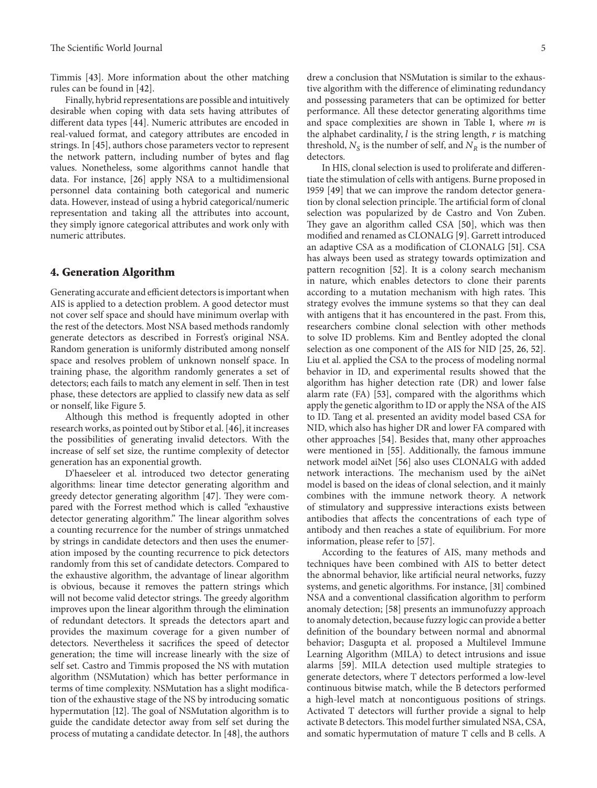Timmis [\[43](#page-8-26)]. More information about the other matching rules can be found in [\[42\]](#page-8-25).

Finally, hybrid representations are possible and intuitively desirable when coping with data sets having attributes of different data types [\[44](#page-8-27)]. Numeric attributes are encoded in real-valued format, and category attributes are encoded in strings. In [\[45\]](#page-8-28), authors chose parameters vector to represent the network pattern, including number of bytes and flag values. Nonetheless, some algorithms cannot handle that data. For instance, [\[26\]](#page-8-9) apply NSA to a multidimensional personnel data containing both categorical and numeric data. However, instead of using a hybrid categorical/numeric representation and taking all the attributes into account, they simply ignore categorical attributes and work only with numeric attributes.

#### **4. Generation Algorithm**

Generating accurate and efficient detectors is important when AIS is applied to a detection problem. A good detector must not cover self space and should have minimum overlap with the rest of the detectors. Most NSA based methods randomly generate detectors as described in Forrest's original NSA. Random generation is uniformly distributed among nonself space and resolves problem of unknown nonself space. In training phase, the algorithm randomly generates a set of detectors; each fails to match any element in self. Then in test phase, these detectors are applied to classify new data as self or nonself, like Figure [5.](#page-3-2)

Although this method is frequently adopted in other research works, as pointed out by Stibor et al. [\[46\]](#page-9-0), it increases the possibilities of generating invalid detectors. With the increase of self set size, the runtime complexity of detector generation has an exponential growth.

D'haeseleer et al. introduced two detector generating algorithms: linear time detector generating algorithm and greedy detector generating algorithm [\[47\]](#page-9-1). They were compared with the Forrest method which is called "exhaustive detector generating algorithm." The linear algorithm solves a counting recurrence for the number of strings unmatched by strings in candidate detectors and then uses the enumeration imposed by the counting recurrence to pick detectors randomly from this set of candidate detectors. Compared to the exhaustive algorithm, the advantage of linear algorithm is obvious, because it removes the pattern strings which will not become valid detector strings. The greedy algorithm improves upon the linear algorithm through the elimination of redundant detectors. It spreads the detectors apart and provides the maximum coverage for a given number of detectors. Nevertheless it sacrifices the speed of detector generation; the time will increase linearly with the size of self set. Castro and Timmis proposed the NS with mutation algorithm (NSMutation) which has better performance in terms of time complexity. NSMutation has a slight modification of the exhaustive stage of the NS by introducing somatic hypermutation [\[12](#page-7-11)]. The goal of NSMutation algorithm is to guide the candidate detector away from self set during the process of mutating a candidate detector. In [\[48](#page-9-2)], the authors

drew a conclusion that NSMutation is similar to the exhaustive algorithm with the difference of eliminating redundancy and possessing parameters that can be optimized for better performance. All these detector generating algorithms time and space complexities are shown in Table [1,](#page-5-1) where  $m$  is the alphabet cardinality,  $l$  is the string length,  $r$  is matching threshold,  $N_S$  is the number of self, and  $N_R$  is the number of detectors.

In HIS, clonal selection is used to proliferate and differentiate the stimulation of cells with antigens. Burne proposed in 1959 [\[49](#page-9-3)] that we can improve the random detector generation by clonal selection principle. The artificial form of clonal selection was popularized by de Castro and Von Zuben. They gave an algorithm called CSA [\[50\]](#page-9-4), which was then modified and renamed as CLONALG [\[9](#page-7-8)]. Garrett introduced an adaptive CSA as a modification of CLONALG [\[51\]](#page-9-5). CSA has always been used as strategy towards optimization and pattern recognition [\[52\]](#page-9-6). It is a colony search mechanism in nature, which enables detectors to clone their parents according to a mutation mechanism with high rates. This strategy evolves the immune systems so that they can deal with antigens that it has encountered in the past. From this, researchers combine clonal selection with other methods to solve ID problems. Kim and Bentley adopted the clonal selection as one component of the AIS for NID [\[25](#page-8-8), [26](#page-8-9), [52](#page-9-6)]. Liu et al. applied the CSA to the process of modeling normal behavior in ID, and experimental results showed that the algorithm has higher detection rate (DR) and lower false alarm rate (FA) [\[53\]](#page-9-7), compared with the algorithms which apply the genetic algorithm to ID or apply the NSA of the AIS to ID. Tang et al. presented an avidity model based CSA for NID, which also has higher DR and lower FA compared with other approaches [\[54](#page-9-8)]. Besides that, many other approaches were mentioned in [\[55\]](#page-9-9). Additionally, the famous immune network model aiNet [\[56](#page-9-10)] also uses CLONALG with added network interactions. The mechanism used by the aiNet model is based on the ideas of clonal selection, and it mainly combines with the immune network theory. A network of stimulatory and suppressive interactions exists between antibodies that affects the concentrations of each type of antibody and then reaches a state of equilibrium. For more information, please refer to [\[57\]](#page-9-11).

According to the features of AIS, many methods and techniques have been combined with AIS to better detect the abnormal behavior, like artificial neural networks, fuzzy systems, and genetic algorithms. For instance, [\[31](#page-8-14)] combined NSA and a conventional classification algorithm to perform anomaly detection; [\[58](#page-9-12)] presents an immunofuzzy approach to anomaly detection, because fuzzy logic can provide a better definition of the boundary between normal and abnormal behavior; Dasgupta et al. proposed a Multilevel Immune Learning Algorithm (MILA) to detect intrusions and issue alarms [\[59](#page-9-13)]. MILA detection used multiple strategies to generate detectors, where T detectors performed a low-level continuous bitwise match, while the B detectors performed a high-level match at noncontiguous positions of strings. Activated T detectors will further provide a signal to help activate B detectors.This model further simulated NSA, CSA, and somatic hypermutation of mature T cells and B cells. A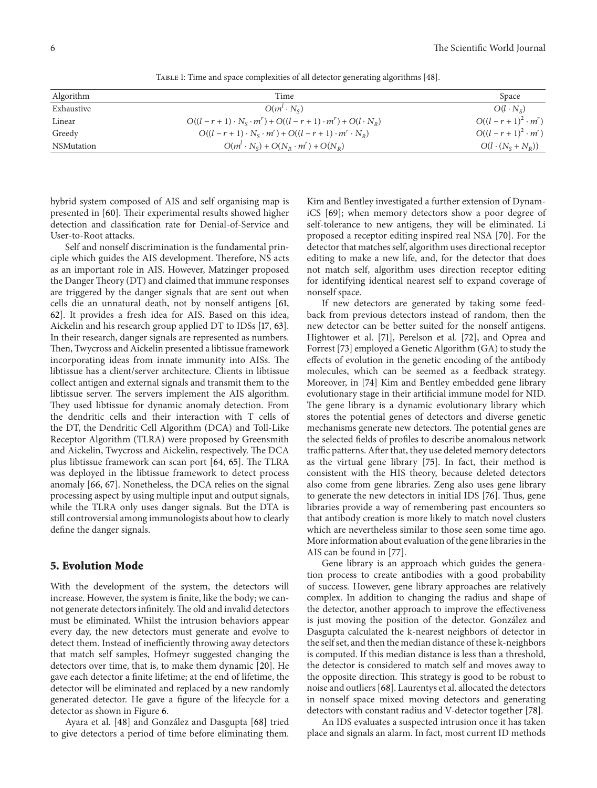<span id="page-5-1"></span>TABLE 1: Time and space complexities of all detector generating algorithms [\[48](#page-9-2)].

| Time                                                                             | Space                        |
|----------------------------------------------------------------------------------|------------------------------|
| $O(m^l \cdot N_c)$                                                               | $O(l \cdot N_c)$             |
| $O((l - r + 1) \cdot N_s \cdot m^r) + O((l - r + 1) \cdot m^r) + O(l \cdot N_n)$ | $O((l - r + 1)^2 \cdot m^r)$ |
| $O((l - r + 1) \cdot N_s \cdot m^r) + O((l - r + 1) \cdot m^r \cdot N_R)$        | $O((l - r + 1)^2 \cdot m^r)$ |
| $O(m^l \cdot N_s) + O(N_p \cdot m^r) + O(N_p)$                                   | $O(l \cdot (N_s + N_p))$     |
|                                                                                  |                              |

hybrid system composed of AIS and self organising map is presented in [\[60](#page-9-14)]. Their experimental results showed higher detection and classification rate for Denial-of-Service and User-to-Root attacks.

Self and nonself discrimination is the fundamental principle which guides the AIS development. Therefore, NS acts as an important role in AIS. However, Matzinger proposed the Danger Theory (DT) and claimed that immune responses are triggered by the danger signals that are sent out when cells die an unnatural death, not by nonself antigens [\[61](#page-9-15), [62](#page-9-16)]. It provides a fresh idea for AIS. Based on this idea, Aickelin and his research group applied DT to IDSs [\[17,](#page-8-1) [63\]](#page-9-17). In their research, danger signals are represented as numbers. Then, Twycross and Aickelin presented a libtissue framework incorporating ideas from innate immunity into AISs. The libtissue has a client/server architecture. Clients in libtissue collect antigen and external signals and transmit them to the libtissue server. The servers implement the AIS algorithm. They used libtissue for dynamic anomaly detection. From the dendritic cells and their interaction with T cells of the DT, the Dendritic Cell Algorithm (DCA) and Toll-Like Receptor Algorithm (TLRA) were proposed by Greensmith and Aickelin, Twycross and Aickelin, respectively. The DCA plus libtissue framework can scan port [\[64](#page-9-18), [65](#page-9-19)]. The TLRA was deployed in the libtissue framework to detect process anomaly [\[66,](#page-9-20) [67](#page-9-21)]. Nonetheless, the DCA relies on the signal processing aspect by using multiple input and output signals, while the TLRA only uses danger signals. But the DTA is still controversial among immunologists about how to clearly define the danger signals.

#### <span id="page-5-0"></span>**5. Evolution Mode**

With the development of the system, the detectors will increase. However, the system is finite, like the body; we cannot generate detectors infinitely.The old and invalid detectors must be eliminated. Whilst the intrusion behaviors appear every day, the new detectors must generate and evolve to detect them. Instead of inefficiently throwing away detectors that match self samples, Hofmeyr suggested changing the detectors over time, that is, to make them dynamic [\[20\]](#page-8-4). He gave each detector a finite lifetime; at the end of lifetime, the detector will be eliminated and replaced by a new randomly generated detector. He gave a figure of the lifecycle for a detector as shown in Figure [6.](#page-6-0)

Ayara et al. [\[48\]](#page-9-2) and González and Dasgupta [[68](#page-9-22)] tried to give detectors a period of time before eliminating them. Kim and Bentley investigated a further extension of DynamiCS [\[69\]](#page-9-23); when memory detectors show a poor degree of self-tolerance to new antigens, they will be eliminated. Li proposed a receptor editing inspired real NSA [\[70\]](#page-9-24). For the detector that matches self, algorithm uses directional receptor editing to make a new life, and, for the detector that does not match self, algorithm uses direction receptor editing for identifying identical nearest self to expand coverage of nonself space.

If new detectors are generated by taking some feedback from previous detectors instead of random, then the new detector can be better suited for the nonself antigens. Hightower et al. [\[71](#page-9-25)], Perelson et al. [\[72](#page-9-26)], and Oprea and Forrest [\[73](#page-9-27)] employed a Genetic Algorithm (GA) to study the effects of evolution in the genetic encoding of the antibody molecules, which can be seemed as a feedback strategy. Moreover, in [\[74](#page-9-28)] Kim and Bentley embedded gene library evolutionary stage in their artificial immune model for NID. The gene library is a dynamic evolutionary library which stores the potential genes of detectors and diverse genetic mechanisms generate new detectors. The potential genes are the selected fields of profiles to describe anomalous network traffic patterns. After that, they use deleted memory detectors as the virtual gene library [\[75](#page-9-29)]. In fact, their method is consistent with the HIS theory, because deleted detectors also come from gene libraries. Zeng also uses gene library to generate the new detectors in initial IDS [\[76](#page-9-30)]. Thus, gene libraries provide a way of remembering past encounters so that antibody creation is more likely to match novel clusters which are nevertheless similar to those seen some time ago. More information about evaluation of the gene libraries in the AIS can be found in [\[77](#page-9-31)].

Gene library is an approach which guides the generation process to create antibodies with a good probability of success. However, gene library approaches are relatively complex. In addition to changing the radius and shape of the detector, another approach to improve the effectiveness is just moving the position of the detector. Gonzalez and ´ Dasgupta calculated the k-nearest neighbors of detector in the self set, and then the median distance of these k-neighbors is computed. If this median distance is less than a threshold, the detector is considered to match self and moves away to the opposite direction. This strategy is good to be robust to noise and outliers [\[68\]](#page-9-22). Laurentys et al. allocated the detectors in nonself space mixed moving detectors and generating detectors with constant radius and V-detector together [\[78\]](#page-9-32).

An IDS evaluates a suspected intrusion once it has taken place and signals an alarm. In fact, most current ID methods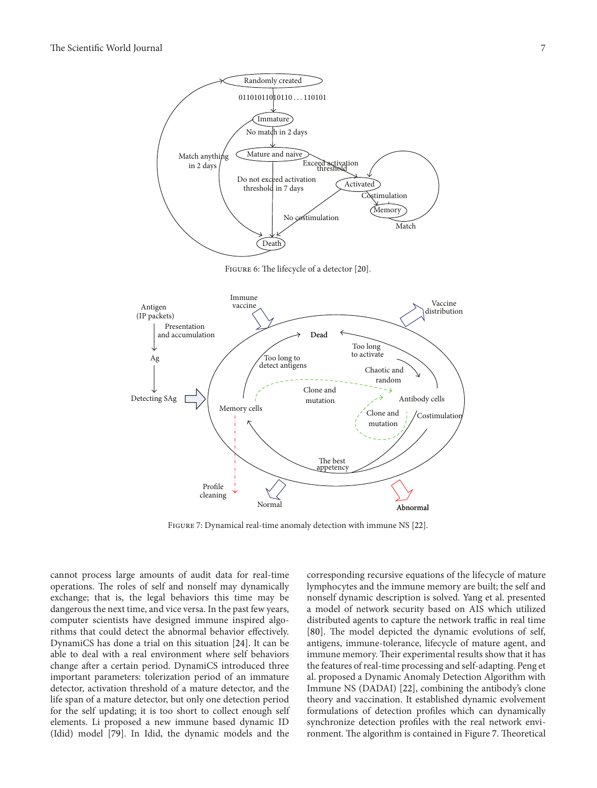

<span id="page-6-0"></span>FIGURE 6: The lifecycle of a detector [\[20](#page-8-4)].



<span id="page-6-1"></span>Figure 7: Dynamical real-time anomaly detection with immune NS [\[22](#page-8-29)].

cannot process large amounts of audit data for real-time operations. The roles of self and nonself may dynamically exchange; that is, the legal behaviors this time may be dangerous the next time, and vice versa. In the past few years, computer scientists have designed immune inspired algorithms that could detect the abnormal behavior effectively. DynamiCS has done a trial on this situation [\[24](#page-8-7)]. It can be able to deal with a real environment where self behaviors change after a certain period. DynamiCS introduced three important parameters: tolerization period of an immature detector, activation threshold of a mature detector, and the life span of a mature detector, but only one detection period for the self updating; it is too short to collect enough self elements. Li proposed a new immune based dynamic ID (Idid) model [\[79](#page-9-33)]. In Idid, the dynamic models and the

corresponding recursive equations of the lifecycle of mature lymphocytes and the immune memory are built; the self and nonself dynamic description is solved. Yang et al. presented a model of network security based on AIS which utilized distributed agents to capture the network traffic in real time [\[80\]](#page-9-34). The model depicted the dynamic evolutions of self, antigens, immune-tolerance, lifecycle of mature agent, and immune memory. Their experimental results show that it has the features of real-time processing and self-adapting. Peng et al. proposed a Dynamic Anomaly Detection Algorithm with Immune NS (DADAI) [\[22](#page-8-29)], combining the antibody's clone theory and vaccination. It established dynamic evolvement formulations of detection profiles which can dynamically synchronize detection profiles with the real network environment. The algorithm is contained in Figure [7.](#page-6-1) Theoretical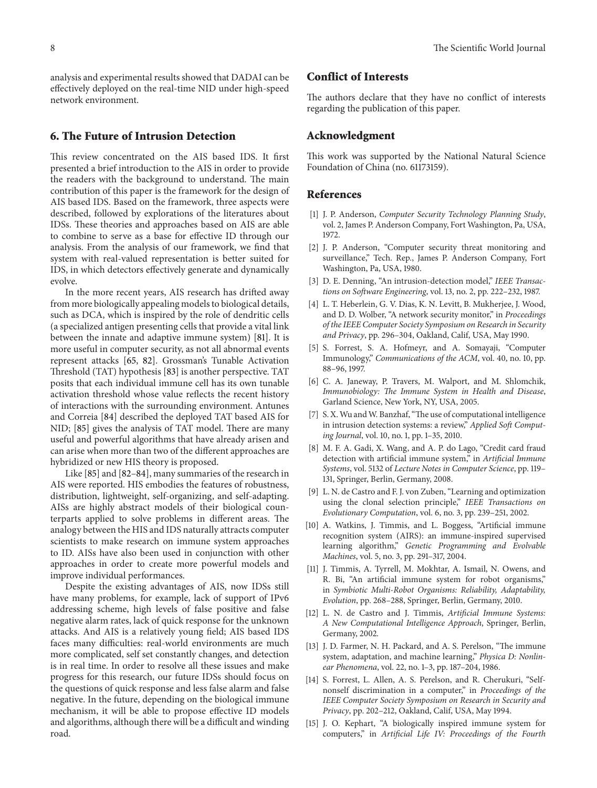analysis and experimental results showed that DADAI can be effectively deployed on the real-time NID under high-speed network environment.

# **6. The Future of Intrusion Detection**

This review concentrated on the AIS based IDS. It first presented a brief introduction to the AIS in order to provide the readers with the background to understand. The main contribution of this paper is the framework for the design of AIS based IDS. Based on the framework, three aspects were described, followed by explorations of the literatures about IDSs. These theories and approaches based on AIS are able to combine to serve as a base for effective ID through our analysis. From the analysis of our framework, we find that system with real-valued representation is better suited for IDS, in which detectors effectively generate and dynamically evolve.

In the more recent years, AIS research has drifted away from more biologically appealing models to biological details, such as DCA, which is inspired by the role of dendritic cells (a specialized antigen presenting cells that provide a vital link between the innate and adaptive immune system) [\[81\]](#page-10-0). It is more useful in computer security, as not all abnormal events represent attacks [\[65,](#page-9-19) [82\]](#page-10-1). Grossman's Tunable Activation Threshold (TAT) hypothesis [\[83\]](#page-10-2) is another perspective. TAT posits that each individual immune cell has its own tunable activation threshold whose value reflects the recent history of interactions with the surrounding environment. Antunes and Correia [\[84](#page-10-3)] described the deployed TAT based AIS for NID; [\[85\]](#page-10-4) gives the analysis of TAT model. There are many useful and powerful algorithms that have already arisen and can arise when more than two of the different approaches are hybridized or new HIS theory is proposed.

Like [\[85](#page-10-4)] and [\[82](#page-10-1)[–84\]](#page-10-3), many summaries of the research in AIS were reported. HIS embodies the features of robustness, distribution, lightweight, self-organizing, and self-adapting. AISs are highly abstract models of their biological counterparts applied to solve problems in different areas. The analogy between the HIS and IDS naturally attracts computer scientists to make research on immune system approaches to ID. AISs have also been used in conjunction with other approaches in order to create more powerful models and improve individual performances.

Despite the existing advantages of AIS, now IDSs still have many problems, for example, lack of support of IPv6 addressing scheme, high levels of false positive and false negative alarm rates, lack of quick response for the unknown attacks. And AIS is a relatively young field; AIS based IDS faces many difficulties: real-world environments are much more complicated, self set constantly changes, and detection is in real time. In order to resolve all these issues and make progress for this research, our future IDSs should focus on the questions of quick response and less false alarm and false negative. In the future, depending on the biological immune mechanism, it will be able to propose effective ID models and algorithms, although there will be a difficult and winding road.

# **Conflict of Interests**

The authors declare that they have no conflict of interests regarding the publication of this paper.

#### **Acknowledgment**

This work was supported by the National Natural Science Foundation of China (no. 61173159).

#### **References**

- <span id="page-7-0"></span>[1] J. P. Anderson, *Computer Security Technology Planning Study*, vol. 2, James P. Anderson Company, Fort Washington, Pa, USA, 1972.
- <span id="page-7-1"></span>[2] J. P. Anderson, "Computer security threat monitoring and surveillance," Tech. Rep., James P. Anderson Company, Fort Washington, Pa, USA, 1980.
- <span id="page-7-2"></span>[3] D. E. Denning, "An intrusion-detection model," *IEEE Transactions on Software Engineering*, vol. 13, no. 2, pp. 222–232, 1987.
- <span id="page-7-3"></span>[4] L. T. Heberlein, G. V. Dias, K. N. Levitt, B. Mukherjee, J. Wood, and D. D. Wolber, "A network security monitor," in *Proceedings of the IEEE Computer Society Symposium on Research in Security and Privacy*, pp. 296–304, Oakland, Calif, USA, May 1990.
- <span id="page-7-4"></span>[5] S. Forrest, S. A. Hofmeyr, and A. Somayaji, "Computer Immunology," *Communications of the ACM*, vol. 40, no. 10, pp. 88–96, 1997.
- <span id="page-7-5"></span>[6] C. A. Janeway, P. Travers, M. Walport, and M. Shlomchik, *Immunobiology: The Immune System in Health and Disease*, Garland Science, New York, NY, USA, 2005.
- <span id="page-7-6"></span>[7] S. X. Wu and W. Banzhaf, "The use of computational intelligence in intrusion detection systems: a review," *Applied Soft Computing Journal*, vol. 10, no. 1, pp. 1–35, 2010.
- <span id="page-7-7"></span>[8] M. F. A. Gadi, X. Wang, and A. P. do Lago, "Credit card fraud detection with artificial immune system," in *Artificial Immune Systems*, vol. 5132 of *Lecture Notes in Computer Science*, pp. 119– 131, Springer, Berlin, Germany, 2008.
- <span id="page-7-8"></span>[9] L. N. de Castro and F. J. von Zuben, "Learning and optimization using the clonal selection principle," *IEEE Transactions on Evolutionary Computation*, vol. 6, no. 3, pp. 239–251, 2002.
- <span id="page-7-9"></span>[10] A. Watkins, J. Timmis, and L. Boggess, "Artificial immune recognition system (AIRS): an immune-inspired supervised learning algorithm," *Genetic Programming and Evolvable Machines*, vol. 5, no. 3, pp. 291–317, 2004.
- <span id="page-7-10"></span>[11] J. Timmis, A. Tyrrell, M. Mokhtar, A. Ismail, N. Owens, and R. Bi, "An artificial immune system for robot organisms," in *Symbiotic Multi-Robot Organisms: Reliability, Adaptability, Evolution*, pp. 268–288, Springer, Berlin, Germany, 2010.
- <span id="page-7-11"></span>[12] L. N. de Castro and J. Timmis, *Artificial Immune Systems: A New Computational Intelligence Approach*, Springer, Berlin, Germany, 2002.
- <span id="page-7-12"></span>[13] J. D. Farmer, N. H. Packard, and A. S. Perelson, "The immune system, adaptation, and machine learning," *Physica D: Nonlinear Phenomena*, vol. 22, no. 1–3, pp. 187–204, 1986.
- <span id="page-7-13"></span>[14] S. Forrest, L. Allen, A. S. Perelson, and R. Cherukuri, "Selfnonself discrimination in a computer," in *Proceedings of the IEEE Computer Society Symposium on Research in Security and Privacy*, pp. 202–212, Oakland, Calif, USA, May 1994.
- <span id="page-7-14"></span>[15] J. O. Kephart, "A biologically inspired immune system for computers," in *Artificial Life IV: Proceedings of the Fourth*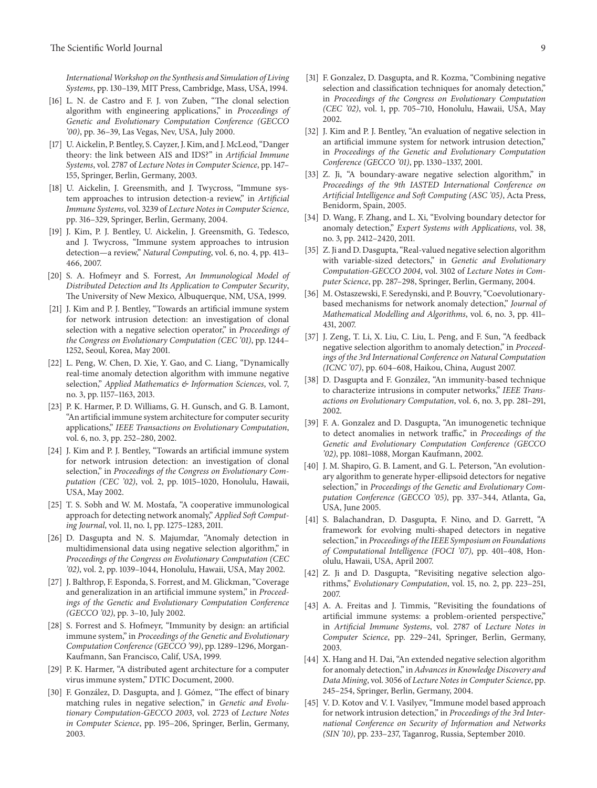*InternationalWorkshop on the Synthesis and Simulation of Living Systems*, pp. 130–139, MIT Press, Cambridge, Mass, USA, 1994.

- <span id="page-8-0"></span>[16] L. N. de Castro and F. J. von Zuben, "The clonal selection algorithm with engineering applications," in *Proceedings of Genetic and Evolutionary Computation Conference (GECCO '00)*, pp. 36–39, Las Vegas, Nev, USA, July 2000.
- <span id="page-8-1"></span>[17] U. Aickelin, P. Bentley, S. Cayzer, J. Kim, and J. McLeod, "Danger" theory: the link between AIS and IDS?" in *Artificial Immune Systems*, vol. 2787 of *Lecture Notes in Computer Science*, pp. 147– 155, Springer, Berlin, Germany, 2003.
- <span id="page-8-2"></span>[18] U. Aickelin, J. Greensmith, and J. Twycross, "Immune system approaches to intrusion detection-a review," in *Artificial Immune Systems*, vol. 3239 of *Lecture Notes in Computer Science*, pp. 316–329, Springer, Berlin, Germany, 2004.
- <span id="page-8-3"></span>[19] J. Kim, P. J. Bentley, U. Aickelin, J. Greensmith, G. Tedesco, and J. Twycross, "Immune system approaches to intrusion detection—a review," *Natural Computing*, vol. 6, no. 4, pp. 413– 466, 2007.
- <span id="page-8-4"></span>[20] S. A. Hofmeyr and S. Forrest, *An Immunological Model of Distributed Detection and Its Application to Computer Security*, The University of New Mexico, Albuquerque, NM, USA, 1999.
- <span id="page-8-6"></span>[21] J. Kim and P. J. Bentley, "Towards an artificial immune system for network intrusion detection: an investigation of clonal selection with a negative selection operator," in *Proceedings of the Congress on Evolutionary Computation (CEC '01)*, pp. 1244– 1252, Seoul, Korea, May 2001.
- <span id="page-8-29"></span>[22] L. Peng, W. Chen, D. Xie, Y. Gao, and C. Liang, "Dynamically real-time anomaly detection algorithm with immune negative selection," *Applied Mathematics & Information Sciences*, vol. 7, no. 3, pp. 1157–1163, 2013.
- <span id="page-8-5"></span>[23] P. K. Harmer, P. D. Williams, G. H. Gunsch, and G. B. Lamont, "An artificial immune system architecture for computer security applications," *IEEE Transactions on Evolutionary Computation*, vol. 6, no. 3, pp. 252–280, 2002.
- <span id="page-8-7"></span>[24] J. Kim and P. J. Bentley, "Towards an artificial immune system for network intrusion detection: an investigation of clonal selection," in *Proceedings of the Congress on Evolutionary Computation (CEC '02)*, vol. 2, pp. 1015–1020, Honolulu, Hawaii, USA, May 2002.
- <span id="page-8-8"></span>[25] T. S. Sobh and W. M. Mostafa, "A cooperative immunological approach for detecting network anomaly," *Applied Soft Computing Journal*, vol. 11, no. 1, pp. 1275–1283, 2011.
- <span id="page-8-9"></span>[26] D. Dasgupta and N. S. Majumdar, "Anomaly detection in multidimensional data using negative selection algorithm," in *Proceedings of the Congress on Evolutionary Computation (CEC '02)*, vol. 2, pp. 1039–1044, Honolulu, Hawaii, USA, May 2002.
- <span id="page-8-10"></span>[27] J. Balthrop, F. Esponda, S. Forrest, and M. Glickman, "Coverage and generalization in an artificial immune system," in *Proceedings of the Genetic and Evolutionary Computation Conference (GECCO '02)*, pp. 3–10, July 2002.
- <span id="page-8-11"></span>[28] S. Forrest and S. Hofmeyr, "Immunity by design: an artificial immune system," in *Proceedings of the Genetic and Evolutionary Computation Conference (GECCO '99)*, pp. 1289–1296, Morgan-Kaufmann, San Francisco, Calif, USA, 1999.
- <span id="page-8-12"></span>[29] P. K. Harmer, "A distributed agent architecture for a computer virus immune system," DTIC Document, 2000.
- <span id="page-8-13"></span>[30] F. González, D. Dasgupta, and J. Gómez, "The effect of binary matching rules in negative selection," in *Genetic and Evolutionary Computation-GECCO 2003*, vol. 2723 of *Lecture Notes in Computer Science*, pp. 195–206, Springer, Berlin, Germany, 2003.
- <span id="page-8-14"></span>[31] F. Gonzalez, D. Dasgupta, and R. Kozma, "Combining negative selection and classification techniques for anomaly detection," in *Proceedings of the Congress on Evolutionary Computation (CEC '02)*, vol. 1, pp. 705–710, Honolulu, Hawaii, USA, May 2002.
- <span id="page-8-15"></span>[32] J. Kim and P. J. Bentley, "An evaluation of negative selection in an artificial immune system for network intrusion detection," in *Proceedings of the Genetic and Evolutionary Computation Conference (GECCO '01)*, pp. 1330–1337, 2001.
- <span id="page-8-16"></span>[33] Z. Ji, "A boundary-aware negative selection algorithm," in *Proceedings of the 9th IASTED International Conference on Artificial Intelligence and Soft Computing (ASC '05)*, Acta Press, Benidorm, Spain, 2005.
- <span id="page-8-17"></span>[34] D. Wang, F. Zhang, and L. Xi, "Evolving boundary detector for anomaly detection," *Expert Systems with Applications*, vol. 38, no. 3, pp. 2412–2420, 2011.
- <span id="page-8-18"></span>[35] Z. Ji and D. Dasgupta, "Real-valued negative selection algorithm with variable-sized detectors," in *Genetic and Evolutionary Computation-GECCO 2004*, vol. 3102 of *Lecture Notes in Computer Science*, pp. 287–298, Springer, Berlin, Germany, 2004.
- <span id="page-8-19"></span>[36] M. Ostaszewski, F. Seredynski, and P. Bouvry, "Coevolutionarybased mechanisms for network anomaly detection," *Journal of Mathematical Modelling and Algorithms*, vol. 6, no. 3, pp. 411– 431, 2007.
- <span id="page-8-20"></span>[37] J. Zeng, T. Li, X. Liu, C. Liu, L. Peng, and F. Sun, "A feedback negative selection algorithm to anomaly detection," in *Proceedings of the 3rd International Conference on Natural Computation (ICNC '07)*, pp. 604–608, Haikou, China, August 2007.
- <span id="page-8-21"></span>[38] D. Dasgupta and F. González, "An immunity-based technique to characterize intrusions in computer networks," *IEEE Transactions on Evolutionary Computation*, vol. 6, no. 3, pp. 281–291, 2002.
- <span id="page-8-22"></span>[39] F. A. Gonzalez and D. Dasgupta, "An imunogenetic technique to detect anomalies in network traffic," in *Proceedings of the Genetic and Evolutionary Computation Conference (GECCO '02)*, pp. 1081–1088, Morgan Kaufmann, 2002.
- <span id="page-8-23"></span>[40] J. M. Shapiro, G. B. Lament, and G. L. Peterson, "An evolutionary algorithm to generate hyper-ellipsoid detectors for negative selection," in *Proceedings of the Genetic and Evolutionary Computation Conference (GECCO '05)*, pp. 337–344, Atlanta, Ga, USA, June 2005.
- <span id="page-8-24"></span>[41] S. Balachandran, D. Dasgupta, F. Nino, and D. Garrett, "A framework for evolving multi-shaped detectors in negative selection," in *Proceedings of the IEEE Symposium on Foundations of Computational Intelligence (FOCI '07)*, pp. 401–408, Honolulu, Hawaii, USA, April 2007.
- <span id="page-8-25"></span>[42] Z. Ji and D. Dasgupta, "Revisiting negative selection algorithms," *Evolutionary Computation*, vol. 15, no. 2, pp. 223–251, 2007.
- <span id="page-8-26"></span>[43] A. A. Freitas and J. Timmis, "Revisiting the foundations of artificial immune systems: a problem-oriented perspective," in *Artificial Immune Systems*, vol. 2787 of *Lecture Notes in Computer Science*, pp. 229–241, Springer, Berlin, Germany, 2003.
- <span id="page-8-27"></span>[44] X. Hang and H. Dai, "An extended negative selection algorithm for anomaly detection," in *Advances in Knowledge Discovery and Data Mining*, vol. 3056 of *Lecture Notes in Computer Science*, pp. 245–254, Springer, Berlin, Germany, 2004.
- <span id="page-8-28"></span>[45] V. D. Kotov and V. I. Vasilyev, "Immune model based approach for network intrusion detection," in *Proceedings of the 3rd International Conference on Security of Information and Networks (SIN '10)*, pp. 233–237, Taganrog, Russia, September 2010.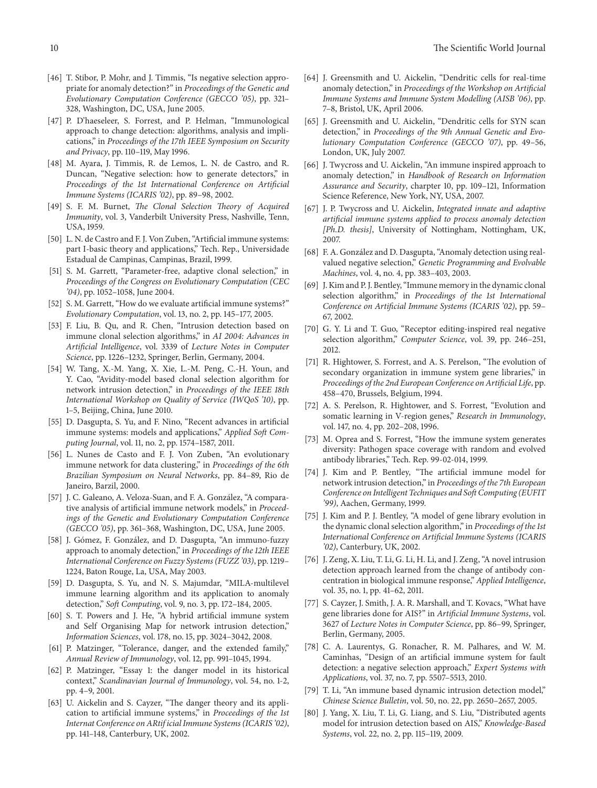- <span id="page-9-0"></span>[46] T. Stibor, P. Mohr, and J. Timmis, "Is negative selection appropriate for anomaly detection?" in *Proceedings of the Genetic and Evolutionary Computation Conference (GECCO '05)*, pp. 321– 328, Washington, DC, USA, June 2005.
- <span id="page-9-1"></span>[47] P. D'haeseleer, S. Forrest, and P. Helman, "Immunological approach to change detection: algorithms, analysis and implications," in *Proceedings of the 17th IEEE Symposium on Security and Privacy*, pp. 110–119, May 1996.
- <span id="page-9-2"></span>[48] M. Ayara, J. Timmis, R. de Lemos, L. N. de Castro, and R. Duncan, "Negative selection: how to generate detectors," in *Proceedings of the 1st International Conference on Artificial Immune Systems (ICARIS '02)*, pp. 89–98, 2002.
- <span id="page-9-3"></span>[49] S. F. M. Burnet, *The Clonal Selection Theory of Acquired Immunity*, vol. 3, Vanderbilt University Press, Nashville, Tenn, USA, 1959.
- <span id="page-9-4"></span>[50] L. N. de Castro and F. J. Von Zuben, "Artificial immune systems: part I-basic theory and applications," Tech. Rep., Universidade Estadual de Campinas, Campinas, Brazil, 1999.
- <span id="page-9-5"></span>[51] S. M. Garrett, "Parameter-free, adaptive clonal selection," in *Proceedings of the Congress on Evolutionary Computation (CEC '04)*, pp. 1052–1058, June 2004.
- <span id="page-9-6"></span>[52] S. M. Garrett, "How do we evaluate artificial immune systems?" *Evolutionary Computation*, vol. 13, no. 2, pp. 145–177, 2005.
- <span id="page-9-7"></span>[53] F. Liu, B. Qu, and R. Chen, "Intrusion detection based on immune clonal selection algorithms," in *AI 2004: Advances in Artificial Intelligence*, vol. 3339 of *Lecture Notes in Computer Science*, pp. 1226–1232, Springer, Berlin, Germany, 2004.
- <span id="page-9-8"></span>[54] W. Tang, X.-M. Yang, X. Xie, L.-M. Peng, C.-H. Youn, and Y. Cao, "Avidity-model based clonal selection algorithm for network intrusion detection," in *Proceedings of the IEEE 18th International Workshop on Quality of Service (IWQoS '10)*, pp. 1–5, Beijing, China, June 2010.
- <span id="page-9-9"></span>[55] D. Dasgupta, S. Yu, and F. Nino, "Recent advances in artificial immune systems: models and applications," *Applied Soft Computing Journal*, vol. 11, no. 2, pp. 1574–1587, 2011.
- <span id="page-9-10"></span>[56] L. Nunes de Casto and F. J. Von Zuben, "An evolutionary immune network for data clustering," in *Proceedings of the 6th Brazilian Symposium on Neural Networks*, pp. 84–89, Rio de Janeiro, Barzil, 2000.
- <span id="page-9-11"></span>[57] J. C. Galeano, A. Veloza-Suan, and F. A. González, "A comparative analysis of artificial immune network models," in *Proceedings of the Genetic and Evolutionary Computation Conference (GECCO '05)*, pp. 361–368, Washington, DC, USA, June 2005.
- <span id="page-9-12"></span>[58] J. Gómez, F. González, and D. Dasgupta, "An immuno-fuzzy approach to anomaly detection," in *Proceedings of the 12th IEEE International Conference on Fuzzy Systems (FUZZ '03)*, pp. 1219– 1224, Baton Rouge, La, USA, May 2003.
- <span id="page-9-13"></span>[59] D. Dasgupta, S. Yu, and N. S. Majumdar, "MILA-multilevel immune learning algorithm and its application to anomaly detection," *Soft Computing*, vol. 9, no. 3, pp. 172–184, 2005.
- <span id="page-9-14"></span>[60] S. T. Powers and J. He, "A hybrid artificial immune system and Self Organising Map for network intrusion detection," *Information Sciences*, vol. 178, no. 15, pp. 3024–3042, 2008.
- <span id="page-9-15"></span>[61] P. Matzinger, "Tolerance, danger, and the extended family," *Annual Review of Immunology*, vol. 12, pp. 991–1045, 1994.
- <span id="page-9-16"></span>[62] P. Matzinger, "Essay 1: the danger model in its historical context," *Scandinavian Journal of Immunology*, vol. 54, no. 1-2, pp. 4–9, 2001.
- <span id="page-9-17"></span>[63] U. Aickelin and S. Cayzer, "The danger theory and its application to artificial immune systems," in *Proceedings of the 1st Internat Conference on ARtif icial Immune Systems (ICARIS '02)*, pp. 141–148, Canterbury, UK, 2002.
- <span id="page-9-18"></span>[64] J. Greensmith and U. Aickelin, "Dendritic cells for real-time anomaly detection," in *Proceedings of the Workshop on Artificial Immune Systems and Immune System Modelling (AISB '06)*, pp. 7–8, Bristol, UK, April 2006.
- <span id="page-9-19"></span>[65] J. Greensmith and U. Aickelin, "Dendritic cells for SYN scan detection," in *Proceedings of the 9th Annual Genetic and Evolutionary Computation Conference (GECCO '07)*, pp. 49–56, London, UK, July 2007.
- <span id="page-9-20"></span>[66] J. Twycross and U. Aickelin, "An immune inspired approach to anomaly detection," in *Handbook of Research on Information Assurance and Security*, charpter 10, pp. 109–121, Information Science Reference, New York, NY, USA, 2007.
- <span id="page-9-21"></span>[67] J. P. Twycross and U. Aickelin, *Integrated innate and adaptive artificial immune systems applied to process anomaly detection [Ph.D. thesis]*, University of Nottingham, Nottingham, UK, 2007.
- <span id="page-9-22"></span>[68] F. A. González and D. Dasgupta, "Anomaly detection using realvalued negative selection," *Genetic Programming and Evolvable Machines*, vol. 4, no. 4, pp. 383–403, 2003.
- <span id="page-9-23"></span>[69] J. Kim and P. J. Bentley, "Immune memory in the dynamic clonal selection algorithm," in *Proceedings of the 1st International Conference on Artificial Immune Systems (ICARIS '02)*, pp. 59– 67, 2002.
- <span id="page-9-24"></span>[70] G. Y. Li and T. Guo, "Receptor editing-inspired real negative selection algorithm," *Computer Science*, vol. 39, pp. 246–251, 2012.
- <span id="page-9-25"></span>[71] R. Hightower, S. Forrest, and A. S. Perelson, "The evolution of secondary organization in immune system gene libraries," in *Proceedings of the 2nd European Conference on Artificial Life*, pp. 458–470, Brussels, Belgium, 1994.
- <span id="page-9-26"></span>[72] A. S. Perelson, R. Hightower, and S. Forrest, "Evolution and somatic learning in V-region genes," *Research in Immunology*, vol. 147, no. 4, pp. 202–208, 1996.
- <span id="page-9-27"></span>[73] M. Oprea and S. Forrest, "How the immune system generates diversity: Pathogen space coverage with random and evolved antibody libraries," Tech. Rep. 99-02-014, 1999.
- <span id="page-9-28"></span>[74] J. Kim and P. Bentley, "The artificial immune model for network intrusion detection," in *Proceedings of the 7th European Conference on Intelligent Techniques and Soft Computing (EUFIT '99)*, Aachen, Germany, 1999.
- <span id="page-9-29"></span>[75] J. Kim and P. J. Bentley, "A model of gene library evolution in the dynamic clonal selection algorithm," in *Proceedings of the 1st International Conference on Artificial Immune Systems (ICARIS '02)*, Canterbury, UK, 2002.
- <span id="page-9-30"></span>[76] J. Zeng, X. Liu, T. Li, G. Li, H. Li, and J. Zeng, "A novel intrusion detection approach learned from the change of antibody concentration in biological immune response," *Applied Intelligence*, vol. 35, no. 1, pp. 41–62, 2011.
- <span id="page-9-31"></span>[77] S. Cayzer, J. Smith, J. A. R. Marshall, and T. Kovacs, "What have gene libraries done for AIS?" in *Artificial Immune Systems*, vol. 3627 of *Lecture Notes in Computer Science*, pp. 86–99, Springer, Berlin, Germany, 2005.
- <span id="page-9-32"></span>[78] C. A. Laurentys, G. Ronacher, R. M. Palhares, and W. M. Caminhas, "Design of an artificial immune system for fault detection: a negative selection approach," *Expert Systems with Applications*, vol. 37, no. 7, pp. 5507–5513, 2010.
- <span id="page-9-33"></span>[79] T. Li, "An immune based dynamic intrusion detection model," *Chinese Science Bulletin*, vol. 50, no. 22, pp. 2650–2657, 2005.
- <span id="page-9-34"></span>[80] J. Yang, X. Liu, T. Li, G. Liang, and S. Liu, "Distributed agents model for intrusion detection based on AIS," *Knowledge-Based Systems*, vol. 22, no. 2, pp. 115–119, 2009.